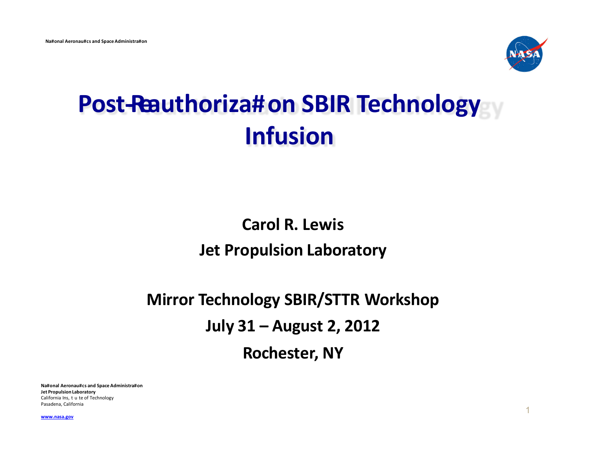

# **Post-Reauthoriza#on SBIR Technology Infusion**

# **Carol R. Lewis Jet Propulsion Laboratory**

# **Mirror Technology SBIR/STTR Workshop July 31 – August 2, 2012 Rochester, NY**

**Na#onal Aeronau#cs and Space Administra#on Jet Propulsion Laboratory**  California Ins, t u te of Technology Pasadena, California

<sup>1</sup> **[www.nasa.gov](http://www.nasa.gov/)**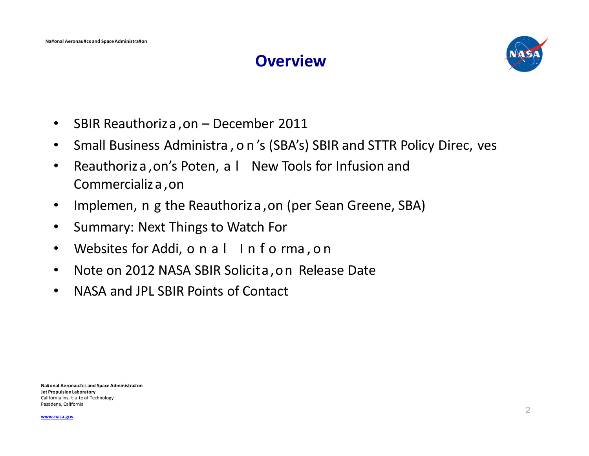#### **Overview**



- SBIR Reauthoriza ,on December 2011
- Small Business Administra,on 's (SBA's) SBIR and STTR Policy Direc, ves
- Reauthoriza, on's Poten, a l New Tools for Infusion and Commercializa ,on
- Implemen, n g the Reauthoriza ,on (per Sean Greene, SBA)
- Summary: Next Things to Watch For
- Websites for Addi, o n a l Info rma, on
- Note on 2012 NASA SBIR Solicita,on Release Date
- NASA and JPL SBIR Points of Contact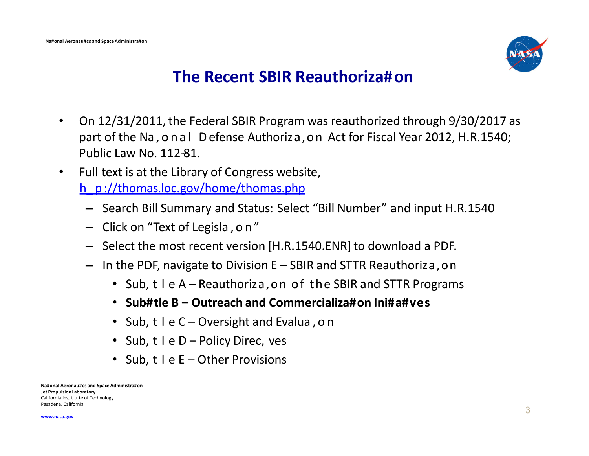

#### **The Recent SBIR Reauthoriza#on**

- On 12/31/2011, the Federal SBIR Program was reauthorized through 9/30/2017 as part of the Na,onal Defense Authoriza,on Act for Fiscal Year 2012, H.R.1540; Public Law No. 112-81.
- Full text is at the Library of Congress website,

h\_ p://thomas.loc.gov/home/thomas.php

- Search Bill Summary and Status: Select "Bill Number" and input H.R.1540
- Click on "Text of Legisla , on"
- Select the most recent version [H.R.1540.ENR] to download a PDF.
- In the PDF, navigate to Division E SBIR and STTR Reauthoriza,on
	- Sub, t I e A Reauthoriza, on of the SBIR and STTR Programs
	- **Sub#tle B – Outreach and Commercializa#on Ini#a#ves**
	- Sub, t I e C Oversight and Evalua, on
	- Sub, t I e D Policy Direc, ves
	- Sub, t I e E Other Provisions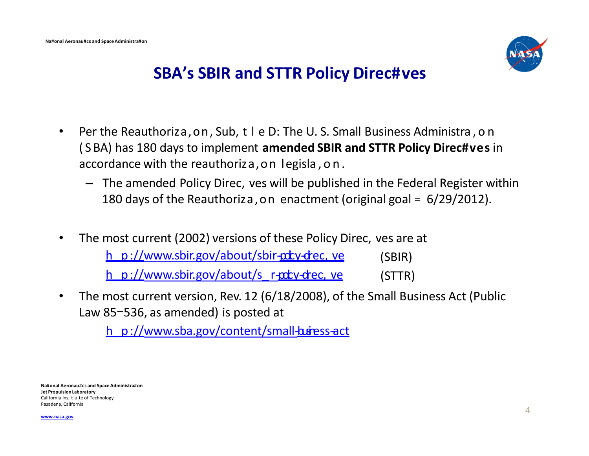

#### **SBA's SBIR and STTR Policy Direc#ves**

- Per the Reauthoriza, on, Sub, t I e D: The U.S. Small Business Administra, on ( S BA) has 180 days to implement **amended SBIR and STTR Policy Direc#ves** in accordance with the reauthoriza,on legisla,on.
	- The amended Policy Direc, ves will be published in the Federal Register within 180 days of the Reauthoriza,on enactment (original goal = 6/29/2012).
- The most current (2002) versions of these Policy Direc, ves are at

h\_p://www.sbir.gov/about/sbir- $ptv$ -drec, ve (SBIR)

h\_p:/[/www.sbir.gov/about/s\\_](http://www.sbir.gov/about/s_r-)r-pdty-drec, ve (STTR)

• The most current version, Rev. 12 (6/18/2008), of the Small Business Act (Public Law 85-536, as amended) is posted at

h\_p://www.sba.gov/content/small-business-act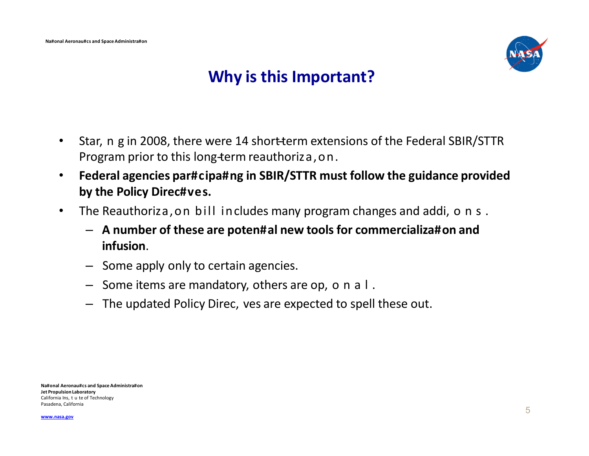

### **Why is this Important?**

- Star, n g in 2008, there were 14 short-term extensions of the Federal SBIR/STTR Program prior to this long-term reauthoriza, on.
- **Federal agencies par#cipa#ng in SBIR/STTR must follow the guidance provided by the Policy Direc#ves.**
- The Reauthoriza, on bill includes many program changes and addi, on s.
	- **A number of these are poten#al new tools for commercializa#on and infusion**.
	- Some apply only to certain agencies.
	- $-$  Some items are mandatory, others are op, o n a l.
	- The updated Policy Direc, ves are expected to spell these out.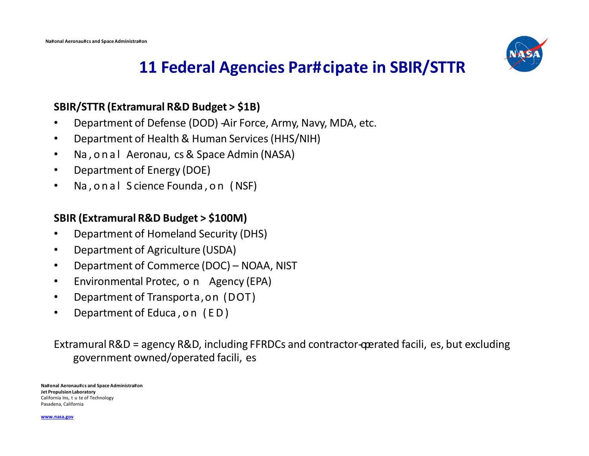

### **11 Federal Agencies Par#cipate in SBIR/STTR**

#### **SBIR/STTR (Extramural R&D Budget > \$1B)**

- Department of Defense (DOD) -Air Force, Army, Navy, MDA, etc.
- Department of Health & Human Services (HHS/NIH)
- Na,onal Aeronau, cs & Space Admin (NASA)
- Department of Energy (DOE)
- Na,onal S cience Founda,on (NSF)

#### **SBIR (Extramural R&D Budget > \$100M)**

- Department of Homeland Security (DHS)
- Department of Agriculture (USDA)
- Department of Commerce (DOC) NOAA, NIST
- Environmental Protec, o n Agency (EPA)
- Department of Transporta,on (DOT)
- Department of Educa,on (ED)

Extramural R&D = agency R&D, including FFRDCs and contractor-operated facili, es, but excluding government owned/operated facili, es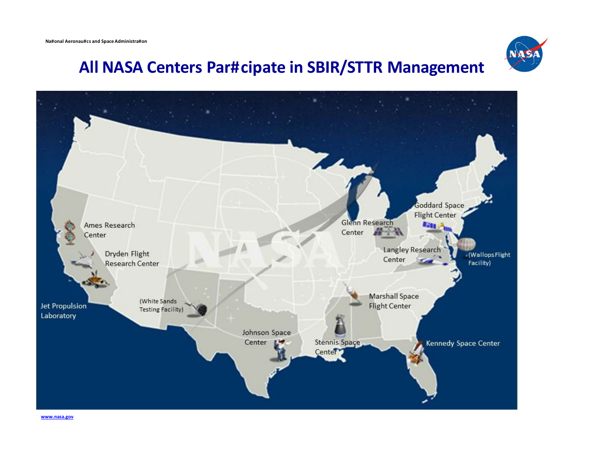

### **All NASA Centers Par#cipate in SBIR/STTR Management**

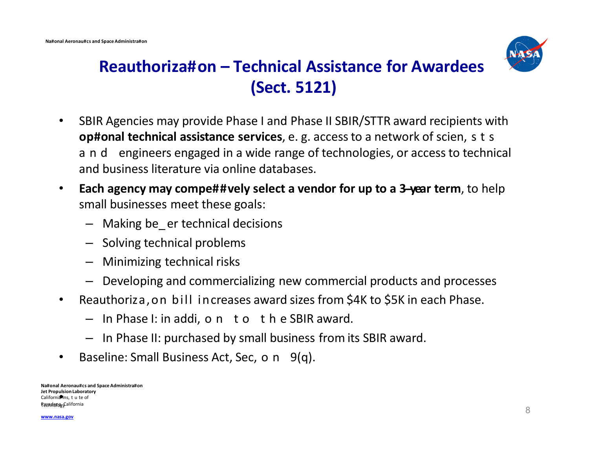

# **Reauthoriza#on – Technical Assistance for Awardees (Sect. 5121)**

- SBIR Agencies may provide Phase I and Phase II SBIR/STTR award recipients with **op#onal technical assistance services**, e. g. access to a network of scien, s t s and engineers engaged in a wide range of technologies, or access to technical and business literature via online databases.
- **Each agency may compe##vely select a vendor for up to a 3--year term**, to help small businesses meet these goals:
	- Making be\_ er technical decisions
	- Solving technical problems
	- Minimizing technical risks
	- Developing and commercializing new commercial products and processes
- Reauthoriza,on bill increases award sizes from \$4K to \$5K in each Phase.
	- In Phase I: in addi, on to th e SBIR award.
	- In Phase II: purchased by small business from its SBIR award.
- Baseline: Small Business Act, Sec, o n  $9(q)$ .

**Na#onal Aeronau#cs and Space Administra#on Jet Propulsion Laboratory** *California* Ins, t u te of<br>California Ins, t u te of Pasadena, California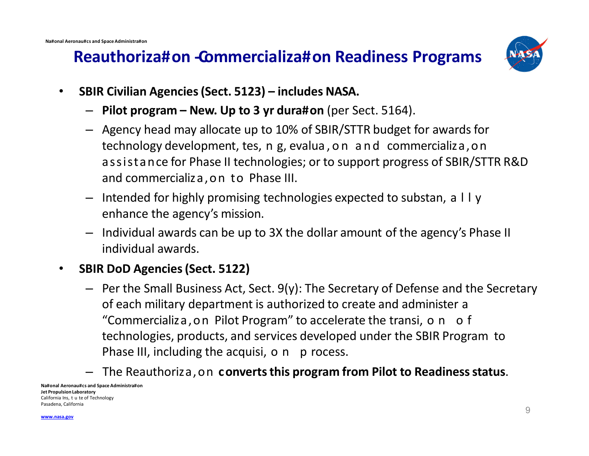### **Reauthoriza#on - Commercializa#on Readiness Programs**



- **SBIR Civilian Agencies (Sect. 5123) includes NASA.**
	- **Pilot program – New. Up to 3 yr dura#on** (per Sect. 5164).
	- Agency head may allocate up to 10% of SBIR/STTR budget for awards for technology development, tes, n g, evalua,on and commercializa,on assistance for Phase II technologies; or to support progress of SBIR/STTR R&D and commercializa,on to Phase III.
	- $-$  Intended for highly promising technologies expected to substan, a  $\Box$  y enhance the agency's mission.
	- Individual awards can be up to 3X the dollar amount of the agency's Phase II individual awards.

#### • **SBIR DoD Agencies (Sect. 5122)**

- Per the Small Business Act, Sect. 9(y): The Secretary of Defense and the Secretary of each military department is authorized to create and administer a "Commercializa, on Pilot Program" to accelerate the transi, on of technologies, products, and services developed under the SBIR Program to Phase III, including the acquisi, o n p rocess.
- The Reauthoriza,on **converts this program from Pilot to Readiness status**.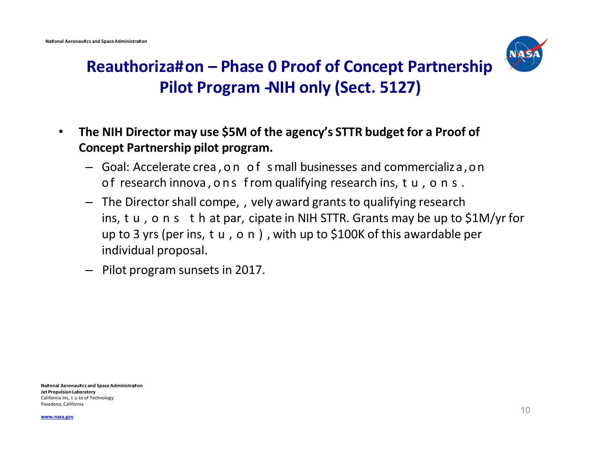

# **Reauthoriza#on – Phase 0 Proof of Concept Partnership Pilot Program -NIH only (Sect. 5127)**

- **The NIH Director may use \$5M of the agency's STTR budget for a Proof of Concept Partnership pilot program.**
	- Goal: Accelerate crea , o n of small businesses and commercializa,on of research innova, ons from qualifying research ins, tu, ons.
	- The Director shall compe, , vely award grants to qualifying research ins, t u, o n s t h at par, cipate in NIH STTR. Grants may be up to \$1M/yr for up to 3 yrs (per ins, t u, o n), with up to \$100K of this awardable per individual proposal.
	- Pilot program sunsets in 2017.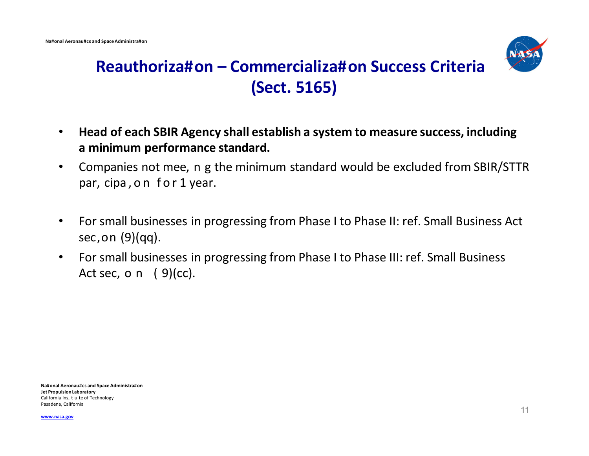

## **Reauthoriza#on – Commercializa#on Success Criteria (Sect. 5165)**

- **Head of each SBIR Agency shall establish a system to measure success, including a minimum performance standard.**
- Companies not mee, n g the minimum standard would be excluded from SBIR/STTR par, cipa, on for 1 year.
- For small businesses in progressing from Phase I to Phase II: ref. Small Business Act sec,on (9)(qq).
- For small businesses in progressing from Phase I to Phase III: ref. Small Business Act sec, o  $n$  ( 9)(cc).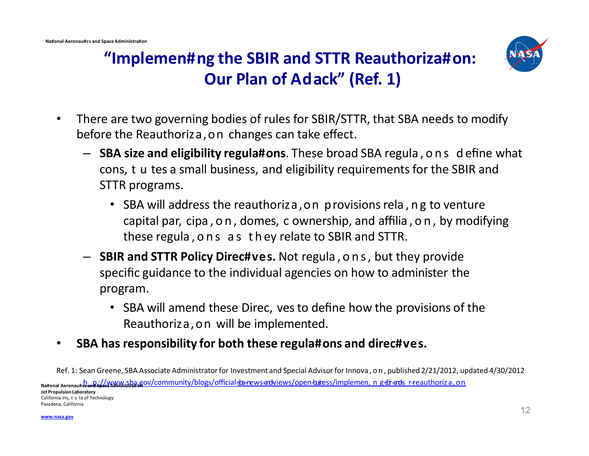

# **"Implemen#ng the SBIR and STTR Reauthoriza#on: Our Plan of Adack" (Ref. 1)**

- There are two governing bodies of rules for SBIR/STTR, that SBA needs to modify before the Reauthoriza,on changes can take effect.
	- **SBA size and eligibility regula#ons**. These broad SBA regula,ons d efine what cons, t u tes a small business, and eligibility requirements for the SBIR and STTR programs.
		- SBA will address the reauthoriza, on provisions rela, ng to venture capital par, cipa,on , domes, c ownership, and affilia,on , by modifying these regula,ons as th ey relate to SBIR and STTR.
	- **SBIR and STTR Policy Direc#ves.** Not regula,ons, but they provide specific guidance to the individual agencies on how to administer the program.
		- SBA will amend these Direc, ves to define how the provisions of the Reauthoriza,on will be implemented.
- **SBA has responsibility for both these regula#ons and direc#ves.**
- Ref. 1: Sean Greene, SBA Associate Administrator for Investment and Special Advisor for Innova,on , published 2/21/2012, updated 4/30/2012

Na#onal Aeronau#dand sp//www.sba.go[v/community/blo](http://www.sba.gov/community/blogs/o%EF%AC%83cial-)gs/official-ba-rews-ardviews/open-buress/implemen, n g-bi-ards r-reauthoriza,on **Jet Propulsion Laboratory**  California Ins, t u te of Technology Pasadena, California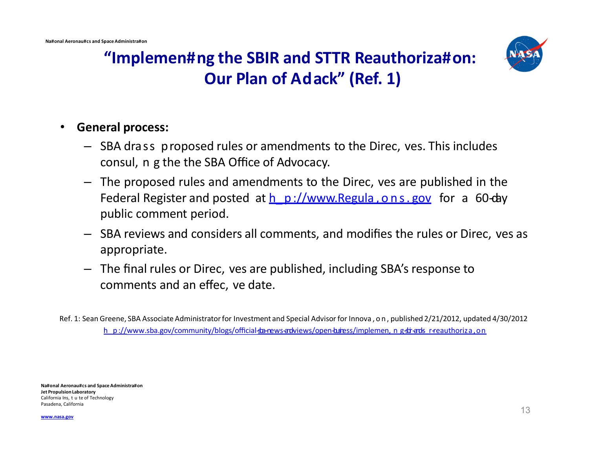

### **"Implemen#ng the SBIR and STTR Reauthoriza#on: Our Plan of Adack" (Ref. 1)**

#### • **General process:**

- SBA drass proposed rules or amendments to the Direc, ves. This includes consul, n g the the SBA Office of Advocacy.
- The proposed rules and amendments to the Direc, ves are published in the Federal Register and posted at  $h$  p://www.Regula,ons. gov for a 60-day public comment period.
- SBA reviews and considers all comments, and modifies the rules or Direc, ves as appropriate.
- The final rules or Direc, ves are published, including SBA's response to comments and an effec, ve date.

Ref. 1: Sean Greene, SBA Associate Administrator for Investment and Special Advisor for Innova,on , published 2/21/2012, updated 4/30/2012 h\_p://[www.sba.gov/community/blo](http://www.sba.gov/community/blogs/o%EF%AC%83cial-)[gs/offi](http://www.sba.gov/community/blogs/o%EF%AC%83cial-)cial-ba-news-and-views/open-buress/implemen, n g-dr-and-r-reauthoriza.on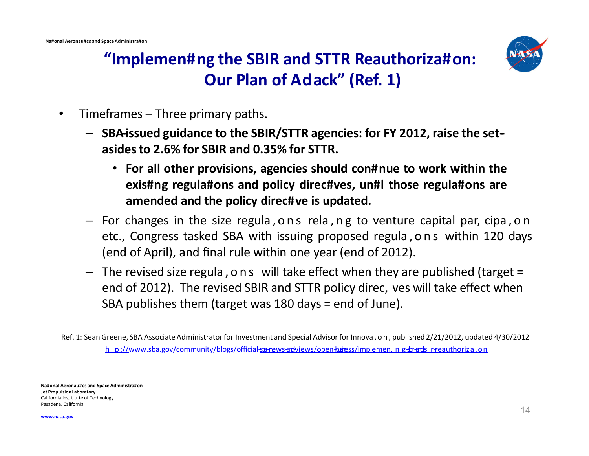

# **"Implemen#ng the SBIR and STTR Reauthoriza#on: Our Plan of Adack" (Ref. 1)**

- Timeframes Three primary paths.
	- $-$  SBA issued guidance to the SBIR/STTR agencies: for FY 2012, raise the set**asides to 2.6% for SBIR and 0.35% for STTR.**
		- **For all other provisions, agencies should con#nue to work within the exis#ng regula#ons and policy direc#ves, un#l those regula#ons are amended and the policy direc#ve is updated.**
	- For changes in the size regula,ons rela,n g to venture capital par, cipa,on etc., Congress tasked SBA with issuing proposed regula,ons within 120 days (end of April), and final rule within one year (end of 2012).
	- The revised size regula , ons will take effect when they are published (target = end of 2012). The revised SBIR and STTR policy direc, ves will take effect when SBA publishes them (target was 180 days = end of June).

Ref. 1: Sean Greene, SBA Associate Administrator for Investment and Special Advisor for Innova,on , published 2/21/2012, updated 4/30/2012 h\_p://[www.sba.gov/community/blo](http://www.sba.gov/community/blogs/o%EF%AC%83cial-)[gs/offi](http://www.sba.gov/community/blogs/o%EF%AC%83cial-)cial-ba-news-and-views/open-buress/implemen, n g-bir-and-reauthoriza,on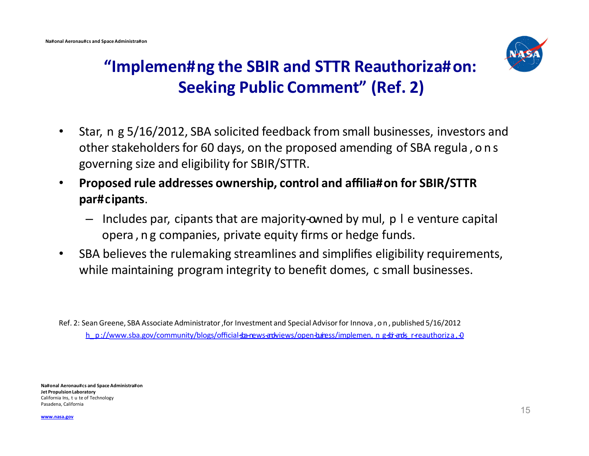

# **"Implemen#ng the SBIR and STTR Reauthoriza#on: Seeking Public Comment" (Ref. 2)**

- Star, n g 5/16/2012, SBA solicited feedback from small businesses, investors and other stakeholders for 60 days, on the proposed amending of SBA regula, on s governing size and eligibility for SBIR/STTR.
- **Proposed rule addresses ownership, control and affilia#on for SBIR/STTR par#cipants**.
	- $-$  Includes par, cipants that are majority-owned by mul, p I e venture capital opera, ng companies, private equity firms or hedge funds.
- SBA believes the rulemaking streamlines and simplifies eligibility requirements, while maintaining program integrity to benefit domes, c small businesses.

Ref. 2: Sean Greene, SBA Associate Administrator ,for Investment and Special Advisor for Innova,on , published 5/16/2012 h\_ p://[www.sba.gov/community/blo](http://www.sba.gov/community/blogs/o%EF%AC%83cial-)[gs/offi](http://www.sba.gov/community/blogs/o%EF%AC%83cial-)cial-so-news-adviews/open-baress/implemen, n g-str-ads\_r-reauthoriza,-0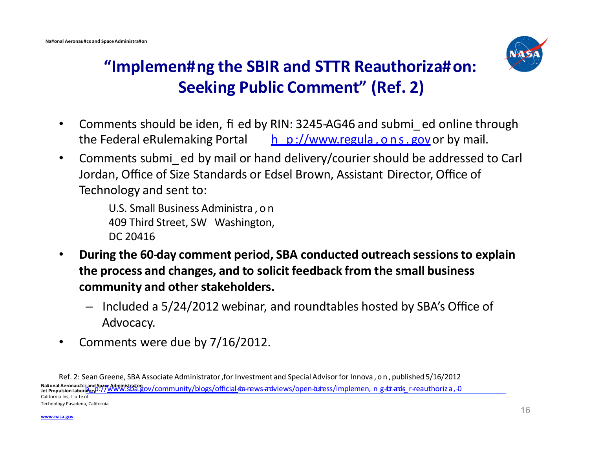

# **"Implemen#ng the SBIR and STTR Reauthoriza#on: Seeking Public Comment" (Ref. 2)**

- Comments should be iden, fi ed by RIN: 3245-AG46 and submi ed online through the Federal eRulemaking Portal  $\frac{h}{h}$  p://www.regula, ons. govor by mail.
- Comments submi ed by mail or hand delivery/courier should be addressed to Carl Jordan, Office of Size Standards or Edsel Brown, Assistant Director, Office of Technology and sent to:

U.S. Small Business Administra,on 409 Third Street, SW Washington, DC 20416

- During the 60-day comment period, SBA conducted outreach sessions to explain **the process and changes, and to solicit feedback from the small business community and other stakeholders.**
	- Included a 5/24/2012 webinar, and roundtables hosted by SBA's Office of Advocacy.
- Comments were due by 7/16/2012.

Ref. 2: Sean Greene, SBA Associate Administrator, for Investment and Special Advisor for Innova, on, published 5/16/2012 Na#onal Aeronau#cs and Space Administra#on<br>Jet Propulsion LaboratoryD://WWW.SDa.gov/community/blo[gs/official](http://www.sba.gov/community/blogs/o%EF%AC%83cial-)\_sba-news-ardviews/open-b.bress/implemen,n\_g-sbr-ards\_r-reauthoriza,O California Ins, t u te of Technology Pasadena, California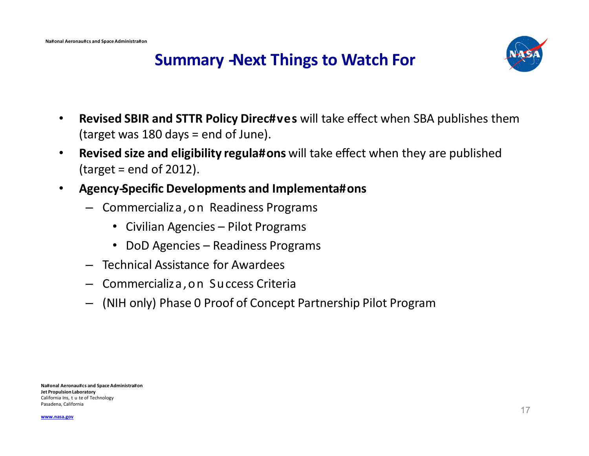

#### **Summary -Next Things to Watch For**

- **Revised SBIR and STTR Policy Direc#ves** will take effect when SBA publishes them (target was 180 days = end of June).
- **Revised size and eligibility regula#ons** will take effect when they are published  $\text{(target = end of 2012)}$ .
- **Agency--Specific Developments and Implementa#ons**
	- Commercializa,on Readiness Programs
		- Civilian Agencies Pilot Programs
		- DoD Agencies Readiness Programs
	- Technical Assistance for Awardees
	- Commercializa,on Success Criteria
	- (NIH only) Phase 0 Proof of Concept Partnership Pilot Program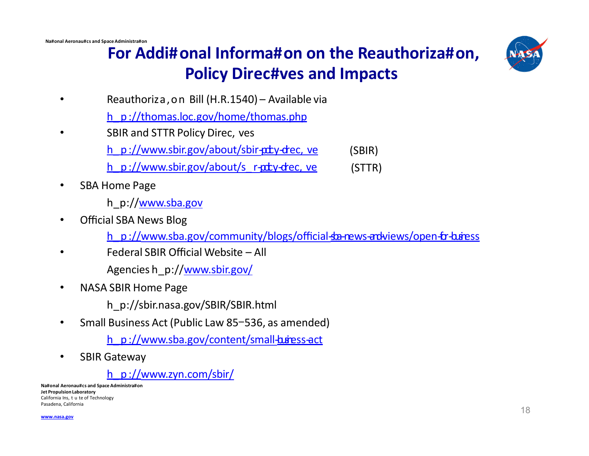

# **For Addi#onal Informa#on on the Reauthoriza#on, Policy Direc#ves and Impacts**

- Reauthoriza,on Bill (H.R.1540) Available via
	- h\_ p ://thomas.loc.gov/home/thomas.php
- SBIR and STTR Policy Direc, ves
	- h\_p ://www.sbir.gov/about/sbir- $ptv$ -dec, ve (SBIR)
	- h\_p :/[/www.sbir.gov/about/s\\_](http://www.sbir.gov/about/s_r-) r- $p$ r  $p$  r- $p$   $\rightarrow$   $p$ (STTR)
- SBA Home Page
	- h\_p://[www.sba.gov](http://www.sba.gov/)
- Official SBA News Blog
	- h p :/[/www.sba.gov/community/blogs/o](http://www.sba.gov/community/blogs/o%EF%AC%83cial-)[ffi](http://www.sba.gov/community/blogs/o%EF%AC%83cial-)cial-some ws-and-views/open-for-business
- Federal SBIR Official Website All Agencies h\_p:/[/www.sbir.gov/](http://www.sbir.gov/)
- NASA SBIR Home Page
	- h\_p://sbir.nasa.gov/SBIR/SBIR.html
- Small Business Act (Public Law 85-536, as amended)
	- $h$  p ://www.sba.gov/content/small- $b$ usiness-act
- SBIR Gateway

h\_ p :/[/www.zyn.com/sbir/](http://www.zyn.com/sbir/)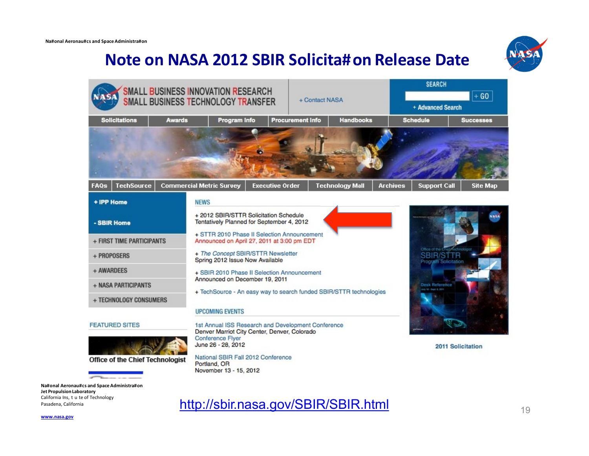#### **Note on NASA 2012 SBIR Solicita#on Release Date**





**Na#onal Aeronau#cs and Space Administra#on Jet Propulsion Laboratory**  California Ins, t u te of Technology

Pasadena, California **1988 Recorded Trecorded Transport Control** Pasadena, California **19** 19 19

**[www.nasa.gov](http://www.nasa.gov/)**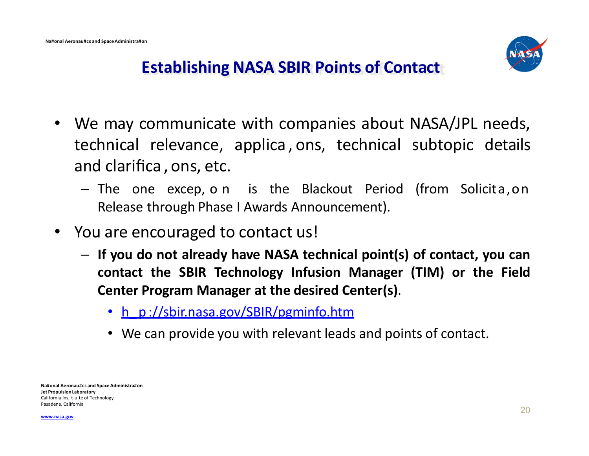

# **Establishing NASA SBIR Points of Contact**

- We may communicate with companies about NASA/JPL needs, technical relevance, applica , ons, technical subtopic details and clarifica , ons, etc.
	- The one excep,on is the Blackout Period (from Solicita,on Release through Phase I Awards Announcement).
- You are encouraged to contact us!
	- **If you do not already have NASA technical point(s) of contact, you can contact the SBIR Technology Infusion Manager (TIM) or the Field Center Program Manager at the desired Center(s)**.
		- h\_p ://sbir.nasa.gov/SBIR/pgminfo.htm
		- We can provide you with relevant leads and points of contact.